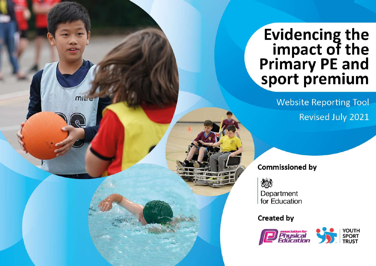## Evidencing the<br>impact of the<br>Primary PE and<br>sport premium

**Website Reporting Tool Revised July 2021** 

**Commissioned by** 

怨

mille

Department for Education

**Created by** 

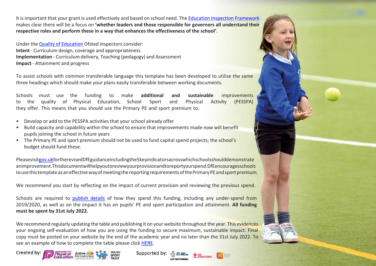It isimportant that your grant is used effectively and based on school need. The Education Inspection [Framework](https://assets.publishing.service.gov.uk/government/uploads/system/uploads/attachment_data/file/843108/School_inspection_handbook_-_section_5.pdf) makes clear there will be a focus on **'whether leaders and those responsible for governors all understand their respective roles and perform these in a way that enhances the effectiveness of the school'**.

Under the Quality of [Education](https://assets.publishing.service.gov.uk/government/uploads/system/uploads/attachment_data/file/843108/School_inspection_handbook_-_section_5.pdf) Ofsted inspectors consider: **Intent** - Curriculum design, coverage and appropriateness **Implementation** - Curriculum delivery, Teaching (pedagogy) and Assessment **Impact** - Attainment and progress

To assist schools with common transferable language this template has been developed to utilise the same three headings which should make your plans easily transferable between working documents.

Schools must use the funding to make **additional and sustainable** improvements to the quality of Physical Education, School Sport and Physical Activity (PESSPA) they offer. This means that you should use the Primary PE and sport premium to:

- Develop or add to the PESSPA activities that your school already offer
- Build capacity and capability within the school to ensure that improvements made now will benefit pupils joining the school in future years
- The Primary PE and sport premium should not be used to fund capital spend projects; the school's budget should fund these.

Pleasevisi[tgov.ukf](https://www.gov.uk/guidance/pe-and-sport-premium-for-primary-schools)ortherevisedDfEguidanceincludingthe5keyindicatorsacrosswhichschoolsshoulddemonstrate animprovement.Thisdocumentwillhelpyoutoreviewyourprovisionandtoreportyourspend.DfEencouragesschools to use this template as an effective way of meeting the reporting requirements of the Primary PE and sport premium.

We recommend you start by reflecting on the impact of current provision and reviewing the previous spend.

Schools are required to [publish details](https://www.gov.uk/guidance/what-maintained-schools-must-publish-online#pe-and-sport-premium-for-primary-schools) of how they spend this funding, including any under-spend from 2019/2020, as well as on the impact it has on pupils' PE and sport participation and attainment. **All funding must be spent by 31st July 2022.**

We recommend regularly updating the table and publishing it on your website throughout the year. This evidences your ongoing self-evaluation of how you are using the funding to secure maximum, sustainable impact. Final copy must be posted on your website by the end of the academic year and no later than the 31st July 2022. To see an example of how to complete the table please click [HERE.](http://www.afpe.org.uk/physical-education/wp-content/uploads/afPE-Example-Template-Indicator-2018-Final.pdf)







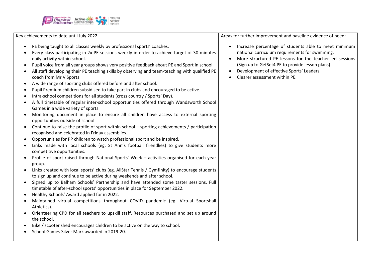

| PE being taught to all classes weekly by professional sports' coaches.<br>Every class participating in 2x PE sessions weekly in order to achieve target of 30 minutes<br>daily activity within school.<br>Pupil voice from all year groups shows very positive feedback about PE and Sport in school.<br>All staff developing their PE teaching skills by observing and team-teaching with qualified PE<br>coach from Mr V Sports.                                                                                                                                                                                                                                                                                                                                                                                                                                                                                                                                                                                                                                                                                                                                                                                                                                                                                                                                                                                                                                                                                                                                                                                                                                                                                   | Increase percentage of students able to meet minimum<br>$\bullet$<br>national curriculum requirements for swimming.<br>More structured PE lessons for the teacher-led sessions<br>(Sign up to GetSet4 PE to provide lesson plans).<br>Development of effective Sports' Leaders.<br>Clearer assessment within PE. |
|----------------------------------------------------------------------------------------------------------------------------------------------------------------------------------------------------------------------------------------------------------------------------------------------------------------------------------------------------------------------------------------------------------------------------------------------------------------------------------------------------------------------------------------------------------------------------------------------------------------------------------------------------------------------------------------------------------------------------------------------------------------------------------------------------------------------------------------------------------------------------------------------------------------------------------------------------------------------------------------------------------------------------------------------------------------------------------------------------------------------------------------------------------------------------------------------------------------------------------------------------------------------------------------------------------------------------------------------------------------------------------------------------------------------------------------------------------------------------------------------------------------------------------------------------------------------------------------------------------------------------------------------------------------------------------------------------------------------|------------------------------------------------------------------------------------------------------------------------------------------------------------------------------------------------------------------------------------------------------------------------------------------------------------------|
| A wide range of sporting clubs offered before and after school.<br>Pupil Premium children subsidised to take part in clubs and encouraged to be active.<br>Intra-school competitions for all students (cross country / Sports' Day).<br>A full timetable of regular inter-school opportunities offered through Wandsworth School<br>Games in a wide variety of sports.<br>Monitoring document in place to ensure all children have access to external sporting<br>opportunities outside of school.<br>Continue to raise the profile of sport within school - sporting achievements / participation<br>recognised and celebrated in Friday assemblies.<br>Opportunities for PP children to watch professional sport and be inspired.<br>Links made with local schools (eg. St Ann's football friendlies) to give students more<br>competitive opportunities.<br>Profile of sport raised through National Sports' Week - activities organised for each year<br>group.<br>Links created with local sports' clubs (eg. AllStar Tennis / Gymfinity) to encourage students<br>to sign up and continue to be active during weekends and after school.<br>Signed up to Balham Schools' Partnership and have attended some taster sessions. Full<br>timetable of after-school sports' opportunities in place for September 2022.<br>Healthy Schools' Award applied for in 2022.<br>Maintained virtual competitions throughout COVID pandemic (eg. Virtual Sportshall<br>Athletics).<br>Orienteering CPD for all teachers to upskill staff. Resources purchased and set up around<br>the school.<br>Bike / scooter shed encourages children to be active on the way to school.<br>School Games Silver Mark awarded in 2019-20. |                                                                                                                                                                                                                                                                                                                  |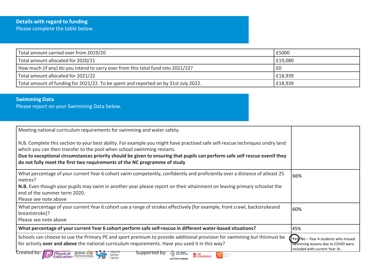| Total amount carried over from 2019/20                                              | £5000   |
|-------------------------------------------------------------------------------------|---------|
| Total amount allocated for 2020/21                                                  | £19,080 |
| How much (if any) do you intend to carry over from this total fund into 2021/22?    | £0      |
| Total amount allocated for 2021/22                                                  | £18,939 |
| Total amount of funding for 2021/22. To be spent and reported on by 31st July 2022. | £18,939 |

## **Swimming Data**

Please report on your Swimming Data below.

| Meeting national curriculum requirements for swimming and water safety.<br>N.B. Complete this section to your best ability. For example you might have practised safe self-rescue techniques ondry land<br>which you can then transfer to the pool when school swimming restarts.<br>Due to exceptional circumstances priority should be given to ensuring that pupils can perform safe self rescue evenif they<br>do not fully meet the first two requirements of the NC programme of study |                                                                                                             |
|----------------------------------------------------------------------------------------------------------------------------------------------------------------------------------------------------------------------------------------------------------------------------------------------------------------------------------------------------------------------------------------------------------------------------------------------------------------------------------------------|-------------------------------------------------------------------------------------------------------------|
| What percentage of your current Year 6 cohort swim competently, confidently and proficiently over a distance of atleast 25<br>metres?<br>N.B. Even though your pupils may swim in another year please report on their attainment on leaving primary schoolat the<br>end of the summer term 2020.<br>Please see note above                                                                                                                                                                    | 66%                                                                                                         |
| What percentage of your current Year 6 cohort use a range of strokes effectively [for example, front crawl, backstrokeand<br>breaststroke]?<br>Please see note above                                                                                                                                                                                                                                                                                                                         | 60%                                                                                                         |
| What percentage of your current Year 6 cohort perform safe self-rescue in different water-based situations?                                                                                                                                                                                                                                                                                                                                                                                  | 45%                                                                                                         |
| Schools can choose to use the Primary PE and sport premium to provide additional provision for swimming but thismust be<br>for activity over and above the national curriculum requirements. Have you used it in this way?                                                                                                                                                                                                                                                                   | Yes No - Year 4 students who missed<br>swimming lessons due to COVID were<br>included with current Year 3s. |
| Created by:<br>Supported by<br><b>THE ENCLAND</b><br><b>SPORT</b><br>Partnerships<br>Education<br><b>COACHING</b><br><b>TRUST</b><br>LOTTERY FUNDED                                                                                                                                                                                                                                                                                                                                          |                                                                                                             |

**LOTTERY FUNDED**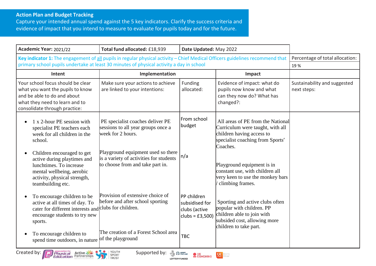## **Action Plan and Budget Tracking**

Capture your intended annual spend against the 5 key indicators. Clarify the success criteria and evidence of impact that you intend to measure to evaluate for pupils today and for the future.

| Academic Year: 2021/22                                                                                                                                                  | Total fund allocated: £18,939                                                                                     | Date Updated: May 2022                                            |                                                                                                                                                      |                                             |
|-------------------------------------------------------------------------------------------------------------------------------------------------------------------------|-------------------------------------------------------------------------------------------------------------------|-------------------------------------------------------------------|------------------------------------------------------------------------------------------------------------------------------------------------------|---------------------------------------------|
| Key indicator 1: The engagement of all pupils in regular physical activity - Chief Medical Officers guidelines recommend that                                           |                                                                                                                   |                                                                   |                                                                                                                                                      | Percentage of total allocation:             |
| primary school pupils undertake at least 30 minutes of physical activity a day in school                                                                                |                                                                                                                   |                                                                   |                                                                                                                                                      | 19 %                                        |
| Intent                                                                                                                                                                  | Implementation                                                                                                    |                                                                   | Impact                                                                                                                                               |                                             |
| Your school focus should be clear<br>what you want the pupils to know<br>and be able to do and about<br>what they need to learn and to<br>consolidate through practice: | Make sure your actions to achieve<br>are linked to your intentions:                                               | Funding<br>allocated:                                             | Evidence of impact: what do<br>pupils now know and what<br>can they now do? What has<br>changed?:                                                    | Sustainability and suggested<br>next steps: |
| 1 x 2-hour PE session with<br>specialist PE teachers each<br>week for all children in the<br>school.                                                                    | PE specialist coaches deliver PE<br>sessions to all year groups once a<br>week for 2 hours.                       | From school<br>budget                                             | All areas of PE from the National<br>Curriculum were taught, with all<br>children having access to<br>specialist coaching from Sports'<br>Coaches.   |                                             |
| Children encouraged to get<br>active during playtimes and<br>lunchtimes. To increase<br>mental wellbeing, aerobic<br>activity, physical strength,<br>teambuilding etc.  | Playground equipment used so there<br>is a variety of activities for students<br>to choose from and take part in. | n/a                                                               | Playground equipment is in<br>constant use, with children all<br>very keen to use the monkey bars<br>climbing frames.                                |                                             |
| To encourage children to be<br>active at all times of day. To<br>cater for different interests and<br>encourage students to try new<br>sports.                          | Provision of extensive choice of<br>before and after school sporting<br>clubs for children.                       | PP children<br>subsidised for<br>clubs (active<br>clubs = £3,500) | Sporting and active clubs often<br>popular with children. PP<br>children able to join with<br>subsided cost, allowing more<br>children to take part. |                                             |
| To encourage children to<br>spend time outdoors, in nature                                                                                                              | The creation of a Forest School area<br>of the playground                                                         | <b>TBC</b>                                                        |                                                                                                                                                      |                                             |
| Created by:<br><b>Physical Active</b><br><b>Education</b> Partnerships                                                                                                  | YOUTH<br>Supported by:<br>Y Po Brasil<br>SPORT<br>TRUST                                                           | $\mathbf{Q}$ UK<br>COACHING                                       |                                                                                                                                                      |                                             |



**LOTTERY FUNDED**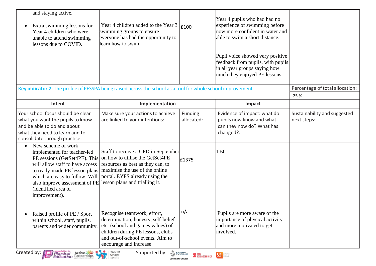| and staying active.<br>Extra swimming lessons for<br>Year 4 children who were<br>unable to attend swimming<br>lessons due to COVID.                                                                                                                                            | Year 4 children added to the Year 3<br>swimming groups to ensure<br>everyone has had the opportunity to<br>learn how to swim.                                                                                     | E100                     | Year 4 pupils who had had no<br>experience of swimming before<br>now more confident in water and<br>able to swim a short distance.<br>Pupil voice showed very positive<br>feedback from pupils, with pupils<br>in all year groups saying how<br>much they enjoyed PE lessons. |                                             |
|--------------------------------------------------------------------------------------------------------------------------------------------------------------------------------------------------------------------------------------------------------------------------------|-------------------------------------------------------------------------------------------------------------------------------------------------------------------------------------------------------------------|--------------------------|-------------------------------------------------------------------------------------------------------------------------------------------------------------------------------------------------------------------------------------------------------------------------------|---------------------------------------------|
| Key indicator 2: The profile of PESSPA being raised across the school as a tool for whole school improvement                                                                                                                                                                   |                                                                                                                                                                                                                   |                          |                                                                                                                                                                                                                                                                               | Percentage of total allocation:<br>25 %     |
| Intent                                                                                                                                                                                                                                                                         | Implementation                                                                                                                                                                                                    |                          | Impact                                                                                                                                                                                                                                                                        |                                             |
| Your school focus should be clear<br>what you want the pupils to know<br>and be able to do and about<br>what they need to learn and to<br>consolidate through practice:                                                                                                        | Make sure your actions to achieve<br>are linked to your intentions:                                                                                                                                               | Funding<br>allocated:    | Evidence of impact: what do<br>pupils now know and what<br>can they now do? What has<br>changed?:                                                                                                                                                                             | Sustainability and suggested<br>next steps: |
| New scheme of work<br>$\bullet$<br>implemented for teacher-led<br>PE sessions (GetSet4PE). This<br>will allow staff to have access<br>to ready-made PE lesson plans<br>which are easy to follow. Will<br>also improve assessment of PE<br>(identified area of<br>improvement). | Staff to receive a CPD in September<br>on how to utilise the GetSet4PE<br>resources as best as they can, to<br>maximise the use of the online<br>portal. EYFS already using the<br>lesson plans and trialling it. | £1375                    | <b>TBC</b>                                                                                                                                                                                                                                                                    |                                             |
| Raised profile of PE / Sport<br>within school, staff, pupils,<br>parents and wider community.                                                                                                                                                                                  | Recognise teamwork, effort,<br>determination, honesty, self-belief<br>etc. (school and games values) of<br>children during PE lessons, clubs<br>and out-of-school events. Aim to<br>encourage and increase        | n/a                      | Pupils are more aware of the<br>importance of physical activity<br>and more motivated to get<br>involved.                                                                                                                                                                     |                                             |
| Created by:<br><b>Physical Active Manufacture</b><br><b>Education</b> Partnerships                                                                                                                                                                                             | YOUTH<br>$\bullet\bullet\bullet$<br>Supported by: 4 Pray<br>SPORT<br>TRUST<br><b>LOTTERY FUNDED</b>                                                                                                               | $\bullet$ UK<br>COACHING | $\alpha$                                                                                                                                                                                                                                                                      |                                             |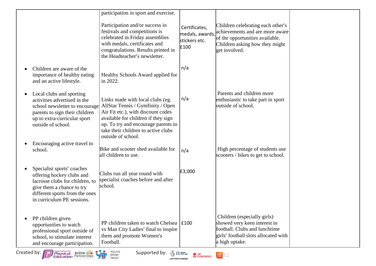|                                                                                                                                                                                                 | participation in sport and exercise.<br>Participation and/or success in<br>festivals and competitions is<br>celebrated in Friday assemblies<br>with medals, certificates and<br>congratulations. Results printed in<br>the Headteacher's newsletter.   | Certificates,<br>medals, awards,<br>stickers etc.<br>£100 | Children celebrating each other's<br>achievements and are more aware<br>of the opportunities available.<br>Children asking how they might<br>get involved. |  |
|-------------------------------------------------------------------------------------------------------------------------------------------------------------------------------------------------|--------------------------------------------------------------------------------------------------------------------------------------------------------------------------------------------------------------------------------------------------------|-----------------------------------------------------------|------------------------------------------------------------------------------------------------------------------------------------------------------------|--|
| Children are aware of the<br>importance of healthy eating<br>and an active lifestyle.                                                                                                           | Healthy Schools Award applied for<br>in 2022.                                                                                                                                                                                                          | n/a                                                       |                                                                                                                                                            |  |
| Local clubs and sporting<br>$\bullet$<br>activities advertised in the<br>school newsletter to encourage<br>parents to sign their children<br>up to extra-curricular sport<br>outside of school. | Links made with local clubs (eg.<br>AllStar Tennis / Gymfinity / Open<br>Air Fit etc.), with discount codes<br>available for children if they sign<br>up. To try and encourage parents to<br>take their children to active clubs<br>outside of school. | n/a                                                       | Parents and children more<br>enthusiastic to take part in sport<br>outside of school.                                                                      |  |
| Encouraging active travel to<br>school.                                                                                                                                                         | Bike and scooter shed available for<br>all children to use.                                                                                                                                                                                            | n/a                                                       | High percentage of students use<br>scooters / bikes to get to school.                                                                                      |  |
| Specialist sports' coaches<br>offering hockey clubs and<br>lacrosse clubs for children, to<br>give them a chance to try<br>different sports from the ones<br>in curriculum PE sessions.         | Clubs run all year round with<br>specialist coaches before and after<br>school.                                                                                                                                                                        | £3,000                                                    |                                                                                                                                                            |  |
| PP children given<br>opportunities to watch<br>professional sport outside of<br>school, to stimulate interest<br>and encourage participation.                                                   | PP children taken to watch Chelsea   £100<br>vs Man City Ladies' final to inspire<br>them and promote Women's<br>Football.                                                                                                                             |                                                           | Children (especially girls)<br>showed very keen interest in<br>football. Clubs and lunchtime<br>girls' football slots allocated with<br>a high uptake.     |  |
| Created by: Physical Active                                                                                                                                                                     | YOUTH<br>. .<br>Supported by: $\frac{36}{20}$ $\frac{22}{20}$<br>SPORT<br><b>TRUST</b><br>LOTTERY FUNDED                                                                                                                                               | $\mathbf{C}$ UK<br>COACHING                               | $K =$                                                                                                                                                      |  |



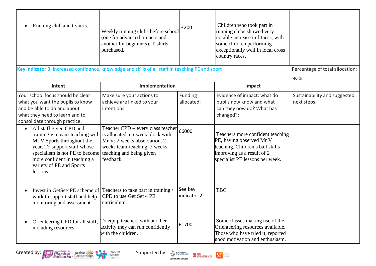| Running club and t-shirts.                                                                                                                                                                      | Weekly running clubs before school<br>(one for advanced runners and<br>another for beginners). T-shirts<br>purchased.                                                                                          | £200                   | Children who took part in<br>running clubs showed very<br>notable increase in fitness, with<br>some children performing<br>exceptionally well in local cross<br>country races. |                                             |
|-------------------------------------------------------------------------------------------------------------------------------------------------------------------------------------------------|----------------------------------------------------------------------------------------------------------------------------------------------------------------------------------------------------------------|------------------------|--------------------------------------------------------------------------------------------------------------------------------------------------------------------------------|---------------------------------------------|
| Key indicator 3: Increased confidence, knowledge and skills of all staff in teaching PE and sport                                                                                               |                                                                                                                                                                                                                |                        |                                                                                                                                                                                | Percentage of total allocation:             |
|                                                                                                                                                                                                 |                                                                                                                                                                                                                |                        |                                                                                                                                                                                | 40 %                                        |
| Intent                                                                                                                                                                                          | Implementation                                                                                                                                                                                                 |                        | Impact                                                                                                                                                                         |                                             |
| Your school focus should be clear<br>what you want the pupils to know<br>and be able to do and about<br>what they need to learn and to<br>consolidate through practice:                         | Make sure your actions to<br>achieve are linked to your<br>intentions:                                                                                                                                         | Funding<br>allocated:  | Evidence of impact: what do<br>pupils now know and what<br>can they now do? What has<br>changed?:                                                                              | Sustainability and suggested<br>next steps: |
| All staff given CPD and<br>Mr V Sports throughout the<br>year. To support staff whose<br>specialism is not PE to become<br>more confident in teaching a<br>variety of PE and Sports<br>lessons. | Teacher CPD - every class teacher<br>training via team-teaching with is allocated a 6-week block with<br>Mr V: 2 weeks observation, 2<br>weeks team-teaching, 2 weeks<br>teaching and being given<br>feedback. | £6000                  | Teachers more confident teaching<br>PE, having observed Mr V<br>teaching. Children's ball skills<br>improving as a result of 2<br>specialist PE lessons per week.              |                                             |
| work to support staff and help<br>monitoring and assessment.                                                                                                                                    | Invest in GetSet4PE scheme of Teachers to take part in training<br>CPD to use Get Set 4 PE<br>curriculum.                                                                                                      | See key<br>indicator 2 | <b>TBC</b>                                                                                                                                                                     |                                             |
| Orienteering CPD for all staff,<br>including resources.                                                                                                                                         | To equip teachers with another<br>activity they can run confidently<br>with the children.                                                                                                                      | £1700                  | Some classes making use of the<br>Orienteering resources available.<br>Those who have tried it, reported<br>good motivation and enthusiasm.                                    |                                             |



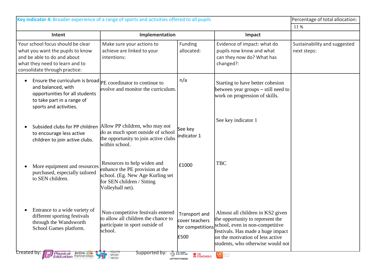|                                                                                                                                                                         | Key indicator 4: Broader experience of a range of sports and activities offered to all pupils                                                                                                                         |                                              |                                                                                                                                                                                                    | Percentage of total allocation:             |
|-------------------------------------------------------------------------------------------------------------------------------------------------------------------------|-----------------------------------------------------------------------------------------------------------------------------------------------------------------------------------------------------------------------|----------------------------------------------|----------------------------------------------------------------------------------------------------------------------------------------------------------------------------------------------------|---------------------------------------------|
|                                                                                                                                                                         |                                                                                                                                                                                                                       |                                              |                                                                                                                                                                                                    | 11 %                                        |
| Intent                                                                                                                                                                  | Implementation                                                                                                                                                                                                        |                                              | Impact                                                                                                                                                                                             |                                             |
| Your school focus should be clear<br>what you want the pupils to know<br>and be able to do and about<br>what they need to learn and to<br>consolidate through practice: | Make sure your actions to<br>achieve are linked to your<br>intentions:                                                                                                                                                | Funding<br>allocated:                        | Evidence of impact: what do<br>pupils now know and what<br>can they now do? What has<br>changed?:                                                                                                  | Sustainability and suggested<br>next steps: |
| and balanced, with<br>opportunities for all students<br>to take part in a range of<br>sports and activities.                                                            | Ensure the curriculum is broad $ _{PE}$ coordinator to continue to<br>evolve and monitor the curriculum.                                                                                                              | n/a                                          | Starting to have better cohesion<br>between year groups $-$ still need to<br>work on progression of skills.                                                                                        |                                             |
| to encourage less active<br>children to join active clubs.                                                                                                              | Subsided clubs for PP children Allow PP children, who may not<br>do as much sport outside of school<br>the opportunity to join active clubs<br>within school.                                                         | See key<br>indicator 1                       | See key indicator 1                                                                                                                                                                                |                                             |
| More equipment and resources<br>purchased, especially tailored<br>to SEN children.                                                                                      | Resources to help widen and<br>enhance the PE provision at the<br>school. (Eg. New Age Kurling set<br>for SEN children / Sitting<br>Volleyball net).                                                                  | £1000                                        | <b>TBC</b>                                                                                                                                                                                         |                                             |
| Entrance to a wide variety of<br>different sporting festivals<br>through the Wandsworth<br>School Games platform.<br><b>Created by:</b><br>Physical Active              | Non-competitive festivals entered   Transport and   Almost all children in KS2 given<br>to allow all children the chance to<br>participate in sport outside of<br>school.<br>Supported by:<br>TOUTH<br>SPORT<br>TRUST | cover teachers<br>£500<br><b>CONTROLLING</b> | the opportunity to represent the<br>for competitions school, even in non-competitive<br>festivals. Has made a huge impact<br>on the motivation of less active<br>students, who otherwise would not |                                             |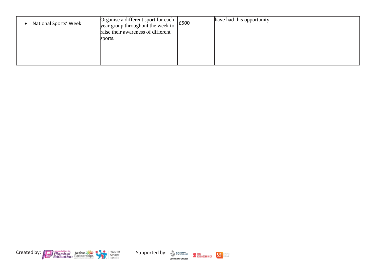| National Sports' Week | Organise a different sport for each year group throughout the week to $\left  \right $ £500<br>raise their awareness of different | have had this opportunity. |  |
|-----------------------|-----------------------------------------------------------------------------------------------------------------------------------|----------------------------|--|
|                       | sports.                                                                                                                           |                            |  |
|                       |                                                                                                                                   |                            |  |





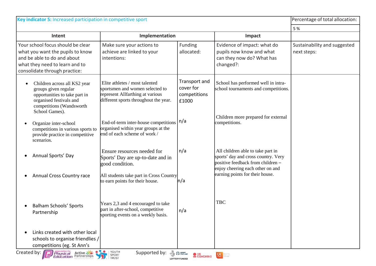| Key indicator 5: Increased participation in competitive sport                                                                                                               |                                                                                                                                                |                                                     |                                                                                                                                                     | Percentage of total allocation:             |
|-----------------------------------------------------------------------------------------------------------------------------------------------------------------------------|------------------------------------------------------------------------------------------------------------------------------------------------|-----------------------------------------------------|-----------------------------------------------------------------------------------------------------------------------------------------------------|---------------------------------------------|
|                                                                                                                                                                             |                                                                                                                                                |                                                     |                                                                                                                                                     | 5 %                                         |
| Intent                                                                                                                                                                      | Implementation                                                                                                                                 |                                                     | Impact                                                                                                                                              |                                             |
| Your school focus should be clear<br>what you want the pupils to know<br>and be able to do and about<br>what they need to learn and to<br>consolidate through practice:     | Make sure your actions to<br>achieve are linked to your<br>intentions:                                                                         | Funding<br>allocated:                               | Evidence of impact: what do<br>pupils now know and what<br>can they now do? What has<br>changed?:                                                   | Sustainability and suggested<br>next steps: |
| Children across all KS2 year<br>$\bullet$<br>groups given regular<br>opportunities to take part in<br>organised festivals and<br>competitions (Wandsworth<br>School Games). | Elite athletes / most talented<br>sportsmen and women selected to<br>represent Allfarthing at various<br>different sports throughout the year. | Transport and<br>cover for<br>competitions<br>£1000 | School has performed well in intra-<br>school tournaments and competitions.                                                                         |                                             |
| Organize inter-school<br>competitions in various sports to<br>provide practice in competitive<br>scenarios.                                                                 | End-of-term inter-house competitions<br>organised within year groups at the<br>end of each scheme of work /                                    | n/a                                                 | Children more prepared for external<br>competitions.                                                                                                |                                             |
| Annual Sports' Day                                                                                                                                                          | Ensure resources needed for<br>Sports' Day are up-to-date and in<br>good condition.                                                            | n/a                                                 | All children able to take part in<br>sports' day and cross country. Very<br>positive feedback from children $-$<br>enjoy cheering each other on and |                                             |
| <b>Annual Cross Country race</b>                                                                                                                                            | All students take part in Cross Country<br>to earn points for their house.                                                                     | n/a                                                 | earning points for their house.                                                                                                                     |                                             |
| <b>Balham Schools' Sports</b><br>Partnership                                                                                                                                | Years 2,3 and 4 encouraged to take<br>part in after-school, competitive<br>sporting events on a weekly basis.                                  | n/a                                                 | <b>TBC</b>                                                                                                                                          |                                             |
| Links created with other local<br>schools to organise friendlies /<br>competitions (eg. St Ann's                                                                            |                                                                                                                                                |                                                     |                                                                                                                                                     |                                             |
| Created by: Physical Active                                                                                                                                                 | YOUTH<br>SPORT<br>TRUST                                                                                                                        | $\bullet$ UK<br>COACHING<br>LOTTERY FUNDED          | $K =$                                                                                                                                               |                                             |